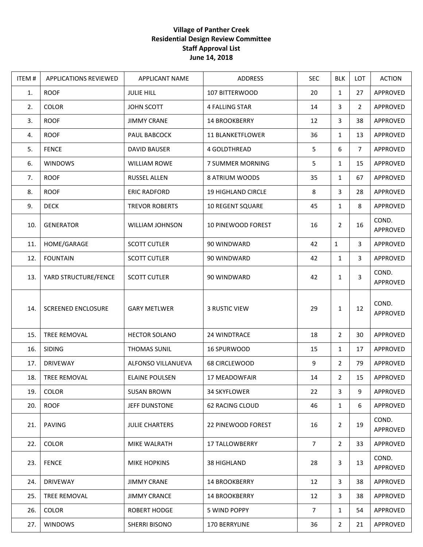## **Village of Panther Creek Residential Design Review Committee Staff Approval List June 14, 2018**

| ITEM# | <b>APPLICATIONS REVIEWED</b> | APPLICANT NAME         | ADDRESS                   | <b>SEC</b>     | <b>BLK</b>     | <b>LOT</b>            | <b>ACTION</b>     |
|-------|------------------------------|------------------------|---------------------------|----------------|----------------|-----------------------|-------------------|
| 1.    | <b>ROOF</b>                  | <b>JULIE HILL</b>      | 107 BITTERWOOD            | 20             | $\mathbf{1}$   | 27                    | APPROVED          |
| 2.    | <b>COLOR</b>                 | JOHN SCOTT             | <b>4 FALLING STAR</b>     | 14             | 3              | $\mathbf{2}^{\prime}$ | APPROVED          |
| 3.    | <b>ROOF</b>                  | <b>JIMMY CRANE</b>     | 14 BROOKBERRY             | 12             | 3              | 38                    | APPROVED          |
| 4.    | <b>ROOF</b>                  | PAUL BABCOCK           | <b>11 BLANKETFLOWER</b>   | 36             | $\mathbf{1}$   | 13                    | APPROVED          |
| 5.    | <b>FENCE</b>                 | <b>DAVID BAUSER</b>    | 4 GOLDTHREAD              | 5              | 6              | $\overline{7}$        | APPROVED          |
| 6.    | <b>WINDOWS</b>               | <b>WILLIAM ROWE</b>    | 7 SUMMER MORNING          | 5              | $\mathbf{1}$   | 15                    | APPROVED          |
| 7.    | <b>ROOF</b>                  | RUSSEL ALLEN           | 8 ATRIUM WOODS            | 35             | $\mathbf{1}$   | 67                    | APPROVED          |
| 8.    | <b>ROOF</b>                  | <b>ERIC RADFORD</b>    | 19 HIGHLAND CIRCLE        | 8              | 3              | 28                    | APPROVED          |
| 9.    | <b>DECK</b>                  | <b>TREVOR ROBERTS</b>  | <b>10 REGENT SQUARE</b>   | 45             | $\mathbf{1}$   | 8                     | APPROVED          |
| 10.   | <b>GENERATOR</b>             | <b>WILLIAM JOHNSON</b> | <b>10 PINEWOOD FOREST</b> | 16             | $\overline{2}$ | 16                    | COND.<br>APPROVED |
| 11.   | HOME/GARAGE                  | <b>SCOTT CUTLER</b>    | 90 WINDWARD               | 42             | $\mathbf{1}$   | 3                     | APPROVED          |
| 12.   | <b>FOUNTAIN</b>              | <b>SCOTT CUTLER</b>    | 90 WINDWARD               | 42             | $\mathbf{1}$   | 3                     | APPROVED          |
| 13.   | YARD STRUCTURE/FENCE         | <b>SCOTT CUTLER</b>    | 90 WINDWARD               | 42             | $\mathbf{1}$   | 3                     | COND.<br>APPROVED |
| 14.   | <b>SCREENED ENCLOSURE</b>    | <b>GARY METLWER</b>    | <b>3 RUSTIC VIEW</b>      | 29             | $\mathbf{1}$   | 12                    | COND.<br>APPROVED |
| 15.   | <b>TREE REMOVAL</b>          | <b>HECTOR SOLANO</b>   | 24 WINDTRACE              | 18             | $\overline{2}$ | 30                    | APPROVED          |
| 16.   | <b>SIDING</b>                | THOMAS SUNIL           | 16 SPURWOOD               | 15             | $\mathbf{1}$   | 17                    | APPROVED          |
| 17.   | <b>DRIVEWAY</b>              | ALFONSO VILLANUEVA     | 68 CIRCLEWOOD             | 9              | $\overline{2}$ | 79                    | APPROVED          |
| 18.   | <b>TREE REMOVAL</b>          | <b>ELAINE POULSEN</b>  | <b>17 MEADOWFAIR</b>      | 14             | $\overline{2}$ | 15                    | APPROVED          |
| 19.   | <b>COLOR</b>                 | <b>SUSAN BROWN</b>     | <b>34 SKYFLOWER</b>       | 22             | 3              | 9                     | APPROVED          |
| 20.   | <b>ROOF</b>                  | JEFF DUNSTONE          | 62 RACING CLOUD           | 46             | $\mathbf{1}$   | 6                     | APPROVED          |
| 21.   | PAVING                       | <b>JULIE CHARTERS</b>  | 22 PINEWOOD FOREST        | 16             | 2              | 19                    | COND.<br>APPROVED |
| 22.   | <b>COLOR</b>                 | MIKE WALRATH           | <b>17 TALLOWBERRY</b>     | $\overline{7}$ | $\overline{2}$ | 33                    | APPROVED          |
| 23.   | <b>FENCE</b>                 | <b>MIKE HOPKINS</b>    | 38 HIGHLAND               | 28             | 3              | 13                    | COND.<br>APPROVED |
| 24.   | <b>DRIVEWAY</b>              | <b>JIMMY CRANE</b>     | <b>14 BROOKBERRY</b>      | 12             | 3              | 38                    | APPROVED          |
| 25.   | TREE REMOVAL                 | <b>JIMMY CRANCE</b>    | <b>14 BROOKBERRY</b>      | 12             | 3              | 38                    | APPROVED          |
| 26.   | <b>COLOR</b>                 | ROBERT HODGE           | 5 WIND POPPY              | $\overline{7}$ | $\mathbf{1}$   | 54                    | APPROVED          |
| 27.   | <b>WINDOWS</b>               | SHERRI BISONO          | 170 BERRYLINE             | 36             | $\overline{2}$ | 21                    | APPROVED          |